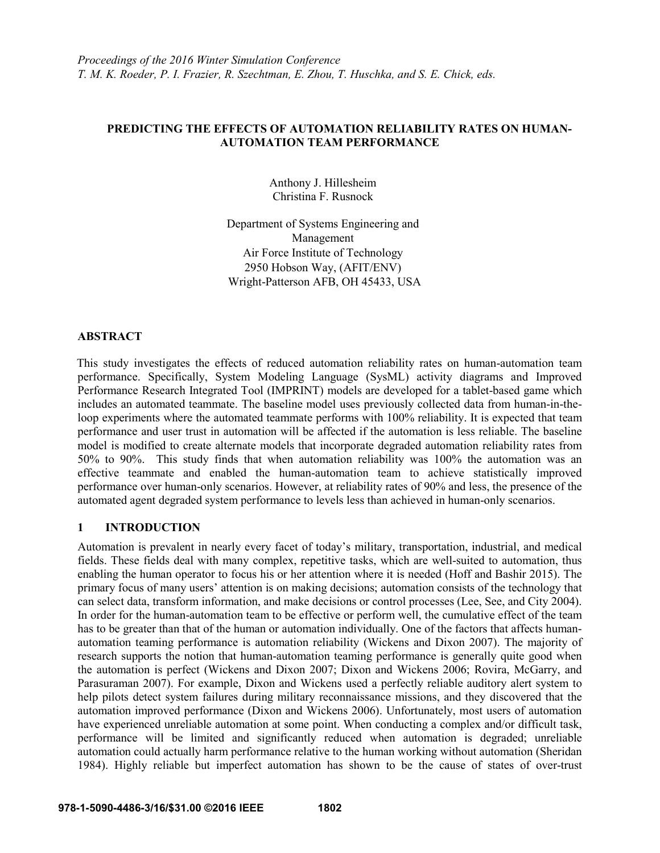## **PREDICTING THE EFFECTS OF AUTOMATION RELIABILITY RATES ON HUMAN-AUTOMATION TEAM PERFORMANCE**

Anthony J. Hillesheim Christina F. Rusnock

Department of Systems Engineering and Management Air Force Institute of Technology 2950 Hobson Way, (AFIT/ENV) Wright-Patterson AFB, OH 45433, USA

## **ABSTRACT**

This study investigates the effects of reduced automation reliability rates on human-automation team performance. Specifically, System Modeling Language (SysML) activity diagrams and Improved Performance Research Integrated Tool (IMPRINT) models are developed for a tablet-based game which includes an automated teammate. The baseline model uses previously collected data from human-in-theloop experiments where the automated teammate performs with  $100\%$  reliability. It is expected that team performance and user trust in automation will be affected if the automation is less reliable. The baseline model is modified to create alternate models that incorporate degraded automation reliability rates from 50% to 90%. This study finds that when automation reliability was 100% the automation was an effective teammate and enabled the human-automation team to achieve statistically improved performance over human-only scenarios. However, at reliability rates of 90% and less, the presence of the automated agent degraded system performance to levels less than achieved in human-only scenarios.

## **1 INTRODUCTION**

Automation is prevalent in nearly every facet of today's military, transportation, industrial, and medical fields. These fields deal with many complex, repetitive tasks, which are well-suited to automation, thus enabling the human operator to focus his or her attention where it is needed (Hoff and Bashir 2015). The primary focus of many users' attention is on making decisions; automation consists of the technology that can select data, transform information, and make decisions or control processes (Lee, See, and City 2004). In order for the human-automation team to be effective or perform well, the cumulative effect of the team has to be greater than that of the human or automation individually. One of the factors that affects humanautomation teaming performance is automation reliability (Wickens and Dixon 2007). The majority of research supports the notion that human-automation teaming performance is generally quite good when the automation is perfect (Wickens and Dixon 2007; Dixon and Wickens 2006; Rovira, McGarry, and Parasuraman 2007). For example, Dixon and Wickens used a perfectly reliable auditory alert system to help pilots detect system failures during military reconnaissance missions, and they discovered that the automation improved performance (Dixon and Wickens 2006). Unfortunately, most users of automation have experienced unreliable automation at some point. When conducting a complex and/or difficult task, performance will be limited and significantly reduced when automation is degraded; unreliable automation could actually harm performance relative to the human working without automation (Sheridan 1984). Highly reliable but imperfect automation has shown to be the cause of states of over-trust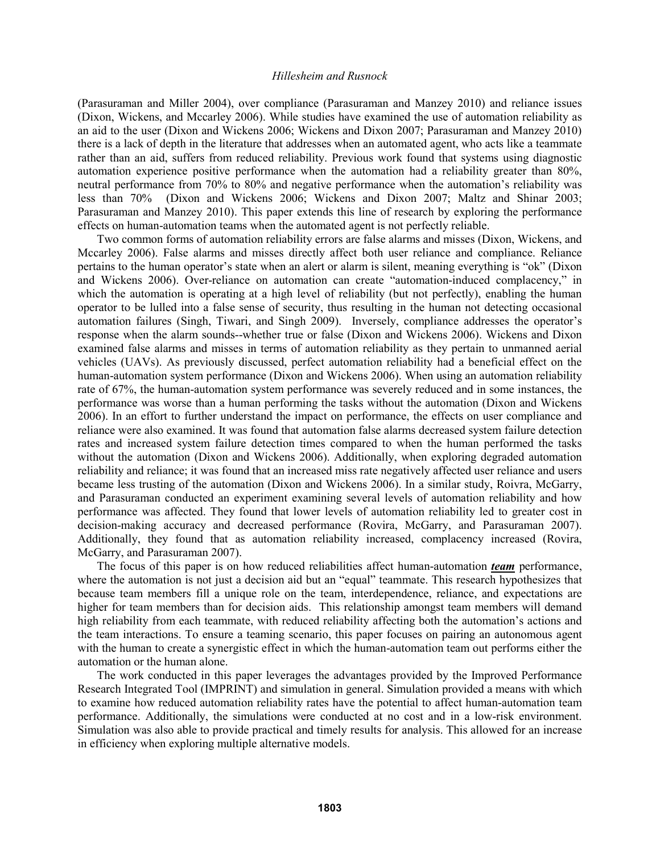(Parasuraman and Miller 2004), over compliance (Parasuraman and Manzey 2010) and reliance issues (Dixon, Wickens, and Mccarley 2006). While studies have examined the use of automation reliability as an aid to the user (Dixon and Wickens 2006; Wickens and Dixon 2007; Parasuraman and Manzey 2010) there is a lack of depth in the literature that addresses when an automated agent, who acts like a teammate rather than an aid, suffers from reduced reliability. Previous work found that systems using diagnostic automation experience positive performance when the automation had a reliability greater than 80%, neutral performance from 70% to 80% and negative performance when the automation's reliability was less than 70% (Dixon and Wickens 2006; Wickens and Dixon 2007; Maltz and Shinar 2003; Parasuraman and Manzey 2010). This paper extends this line of research by exploring the performance effects on human-automation teams when the automated agent is not perfectly reliable.

Two common forms of automation reliability errors are false alarms and misses (Dixon, Wickens, and Mccarley 2006). False alarms and misses directly affect both user reliance and compliance. Reliance pertains to the human operator's state when an alert or alarm is silent, meaning everything is "ok" (Dixon and Wickens 2006). Over-reliance on automation can create "automation-induced complacency," in which the automation is operating at a high level of reliability (but not perfectly), enabling the human operator to be lulled into a false sense of security, thus resulting in the human not detecting occasional automation failures (Singh, Tiwari, and Singh 2009). Inversely, compliance addresses the operator's response when the alarm sounds--whether true or false (Dixon and Wickens 2006). Wickens and Dixon examined false alarms and misses in terms of automation reliability as they pertain to unmanned aerial vehicles (UAVs). As previously discussed, perfect automation reliability had a beneficial effect on the human-automation system performance (Dixon and Wickens 2006). When using an automation reliability rate of 67%, the human-automation system performance was severely reduced and in some instances, the performance was worse than a human performing the tasks without the automation (Dixon and Wickens 2006). In an effort to further understand the impact on performance, the effects on user compliance and reliance were also examined. It was found that automation false alarms decreased system failure detection rates and increased system failure detection times compared to when the human performed the tasks without the automation (Dixon and Wickens 2006). Additionally, when exploring degraded automation reliability and reliance; it was found that an increased miss rate negatively affected user reliance and users became less trusting of the automation (Dixon and Wickens 2006). In a similar study, Roivra, McGarry, and Parasuraman conducted an experiment examining several levels of automation reliability and how performance was affected. They found that lower levels of automation reliability led to greater cost in decision-making accuracy and decreased performance (Rovira, McGarry, and Parasuraman 2007). Additionally, they found that as automation reliability increased, complacency increased (Rovira, McGarry, and Parasuraman 2007).

The focus of this paper is on how reduced reliabilities affect human-automation *team* performance, where the automation is not just a decision aid but an "equal" teammate. This research hypothesizes that because team members fill a unique role on the team, interdependence, reliance, and expectations are higher for team members than for decision aids. This relationship amongst team members will demand high reliability from each teammate, with reduced reliability affecting both the automation's actions and the team interactions. To ensure a teaming scenario, this paper focuses on pairing an autonomous agent with the human to create a synergistic effect in which the human-automation team out performs either the automation or the human alone.

The work conducted in this paper leverages the advantages provided by the Improved Performance Research Integrated Tool (IMPRINT) and simulation in general. Simulation provided a means with which to examine how reduced automation reliability rates have the potential to affect human-automation team performance. Additionally, the simulations were conducted at no cost and in a low-risk environment. Simulation was also able to provide practical and timely results for analysis. This allowed for an increase in efficiency when exploring multiple alternative models.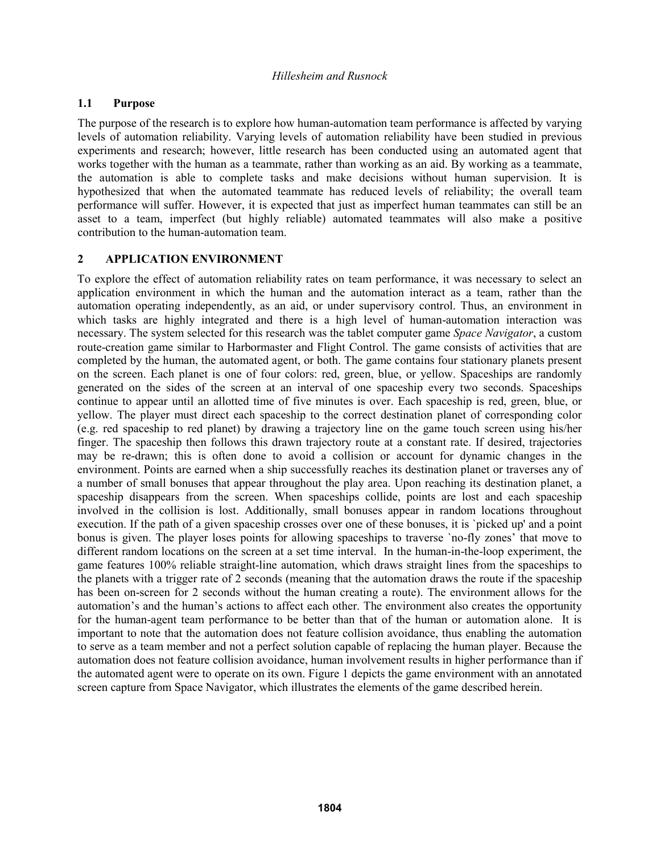## **1.1 Purpose**

The purpose of the research is to explore how human-automation team performance is affected by varying levels of automation reliability. Varying levels of automation reliability have been studied in previous experiments and research; however, little research has been conducted using an automated agent that works together with the human as a teammate, rather than working as an aid. By working as a teammate, the automation is able to complete tasks and make decisions without human supervision. It is hypothesized that when the automated teammate has reduced levels of reliability; the overall team performance will suffer. However, it is expected that just as imperfect human teammates can still be an asset to a team, imperfect (but highly reliable) automated teammates will also make a positive contribution to the human-automation team.

## **2 APPLICATION ENVIRONMENT**

To explore the effect of automation reliability rates on team performance, it was necessary to select an application environment in which the human and the automation interact as a team, rather than the automation operating independently, as an aid, or under supervisory control. Thus, an environment in which tasks are highly integrated and there is a high level of human-automation interaction was necessary. The system selected for this research was the tablet computer game *Space Navigator*, a custom route-creation game similar to Harbormaster and Flight Control. The game consists of activities that are completed by the human, the automated agent, or both. The game contains four stationary planets present on the screen. Each planet is one of four colors: red, green, blue, or yellow. Spaceships are randomly generated on the sides of the screen at an interval of one spaceship every two seconds. Spaceships continue to appear until an allotted time of five minutes is over. Each spaceship is red, green, blue, or yellow. The player must direct each spaceship to the correct destination planet of corresponding color (e.g. red spaceship to red planet) by drawing a trajectory line on the game touch screen using his/her finger. The spaceship then follows this drawn trajectory route at a constant rate. If desired, trajectories may be re-drawn; this is often done to avoid a collision or account for dynamic changes in the environment. Points are earned when a ship successfully reaches its destination planet or traverses any of a number of small bonuses that appear throughout the play area. Upon reaching its destination planet, a spaceship disappears from the screen. When spaceships collide, points are lost and each spaceship involved in the collision is lost. Additionally, small bonuses appear in random locations throughout execution. If the path of a given spaceship crosses over one of these bonuses, it is `picked up' and a point bonus is given. The player loses points for allowing spaceships to traverse `no-fly zones' that move to different random locations on the screen at a set time interval. In the human-in-the-loop experiment, the game features 100% reliable straight-line automation, which draws straight lines from the spaceships to the planets with a trigger rate of 2 seconds (meaning that the automation draws the route if the spaceship has been on-screen for 2 seconds without the human creating a route). The environment allows for the automation's and the human's actions to affect each other. The environment also creates the opportunity for the human-agent team performance to be better than that of the human or automation alone. It is important to note that the automation does not feature collision avoidance, thus enabling the automation to serve as a team member and not a perfect solution capable of replacing the human player. Because the automation does not feature collision avoidance, human involvement results in higher performance than if the automated agent were to operate on its own. Figure 1 depicts the game environment with an annotated screen capture from Space Navigator, which illustrates the elements of the game described herein.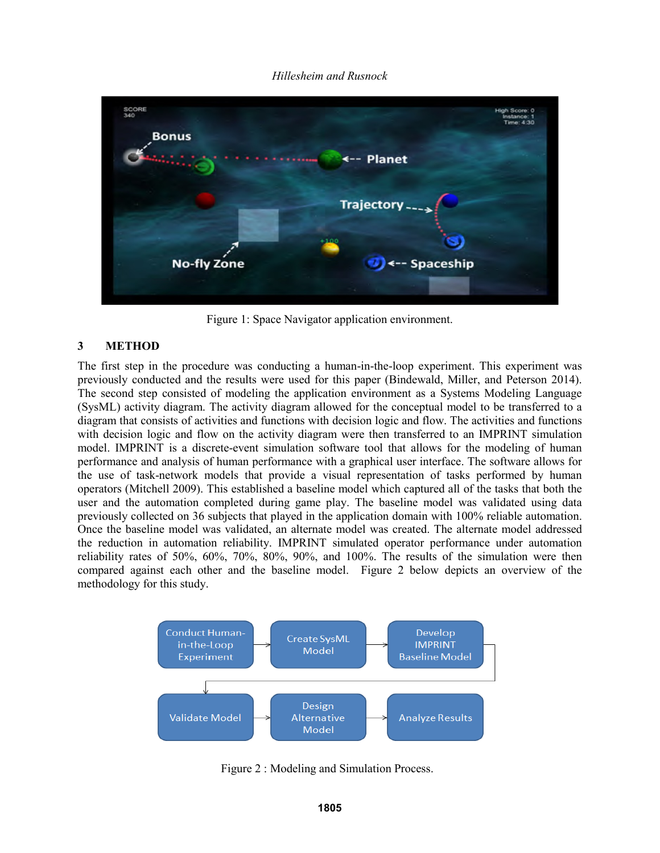



Figure 1: Space Navigator application environment.

## **3 METHOD**

The first step in the procedure was conducting a human-in-the-loop experiment. This experiment was previously conducted and the results were used for this paper (Bindewald, Miller, and Peterson 2014). The second step consisted of modeling the application environment as a Systems Modeling Language (SysML) activity diagram. The activity diagram allowed for the conceptual model to be transferred to a diagram that consists of activities and functions with decision logic and flow. The activities and functions with decision logic and flow on the activity diagram were then transferred to an IMPRINT simulation model. IMPRINT is a discrete-event simulation software tool that allows for the modeling of human performance and analysis of human performance with a graphical user interface. The software allows for the use of task-network models that provide a visual representation of tasks performed by human operators (Mitchell 2009). This established a baseline model which captured all of the tasks that both the user and the automation completed during game play. The baseline model was validated using data previously collected on 36 subjects that played in the application domain with 100% reliable automation. Once the baseline model was validated, an alternate model was created. The alternate model addressed the reduction in automation reliability. IMPRINT simulated operator performance under automation reliability rates of 50%, 60%, 70%, 80%, 90%, and 100%. The results of the simulation were then compared against each other and the baseline model. Figure 2 below depicts an overview of the methodology for this study.



Figure 2 : Modeling and Simulation Process.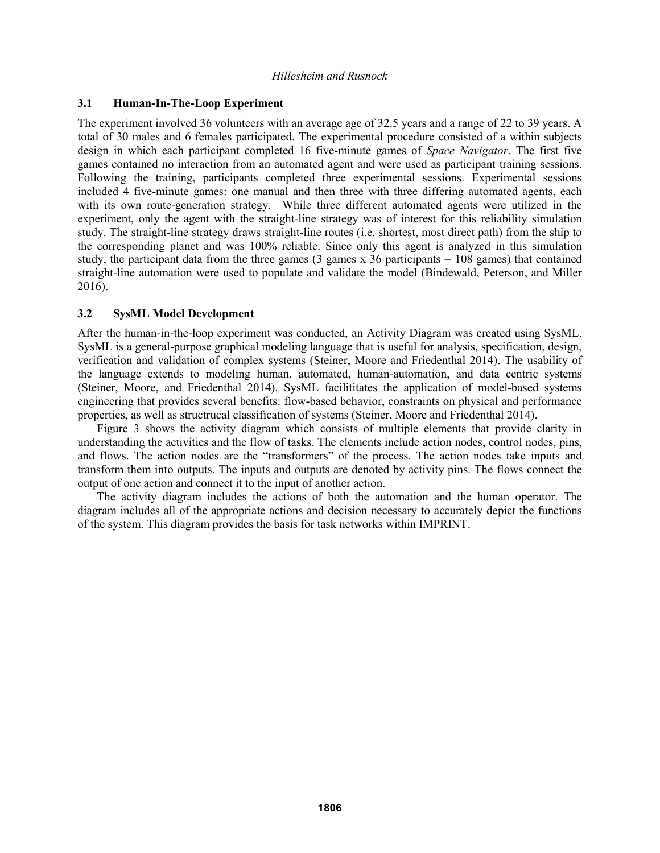## **3.1 Human-In-The-Loop Experiment**

The experiment involved 36 volunteers with an average age of 32.5 years and a range of 22 to 39 years. A total of 30 males and 6 females participated. The experimental procedure consisted of a within subjects design in which each participant completed 16 five-minute games of *Space Navigator*. The first five games contained no interaction from an automated agent and were used as participant training sessions. Following the training, participants completed three experimental sessions. Experimental sessions included 4 five-minute games: one manual and then three with three differing automated agents, each with its own route-generation strategy. While three different automated agents were utilized in the experiment, only the agent with the straight-line strategy was of interest for this reliability simulation study. The straight-line strategy draws straight-line routes (i.e. shortest, most direct path) from the ship to the corresponding planet and was 100% reliable. Since only this agent is analyzed in this simulation study, the participant data from the three games  $(3 \text{ games} \times 36 \text{ participants} = 108 \text{ games})$  that contained straight-line automation were used to populate and validate the model (Bindewald, Peterson, and Miller 2016).

#### **3.2 SysML Model Development**

After the human-in-the-loop experiment was conducted, an Activity Diagram was created using SysML. SysML is a general-purpose graphical modeling language that is useful for analysis, specification, design, verification and validation of complex systems (Steiner, Moore and Friedenthal 2014). The usability of the language extends to modeling human, automated, human-automation, and data centric systems (Steiner, Moore, and Friedenthal 2014). SysML facilititates the application of model-based systems engineering that provides several benefits: flow-based behavior, constraints on physical and performance properties, as well as structrucal classification of systems (Steiner, Moore and Friedenthal 2014).

Figure 3 shows the activity diagram which consists of multiple elements that provide clarity in understanding the activities and the flow of tasks. The elements include action nodes, control nodes, pins, and flows. The action nodes are the "transformers" of the process. The action nodes take inputs and transform them into outputs. The inputs and outputs are denoted by activity pins. The flows connect the output of one action and connect it to the input of another action.

The activity diagram includes the actions of both the automation and the human operator. The diagram includes all of the appropriate actions and decision necessary to accurately depict the functions of the system. This diagram provides the basis for task networks within IMPRINT.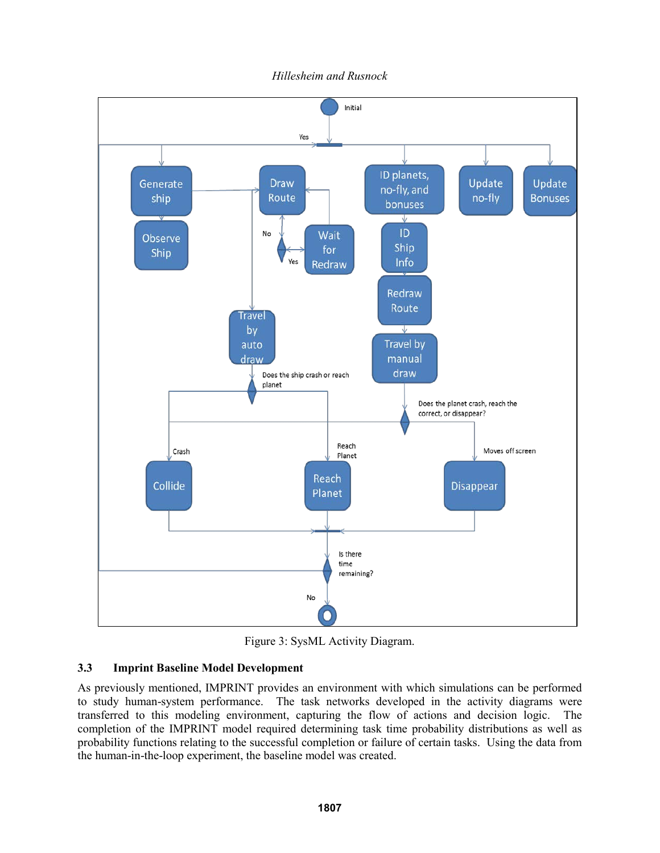

Figure 3: SysML Activity Diagram.

# **3.3 Imprint Baseline Model Development**

As previously mentioned, IMPRINT provides an environment with which simulations can be performed to study human-system performance. The task networks developed in the activity diagrams were transferred to this modeling environment, capturing the flow of actions and decision logic. The completion of the IMPRINT model required determining task time probability distributions as well as probability functions relating to the successful completion or failure of certain tasks. Using the data from the human-in-the-loop experiment, the baseline model was created.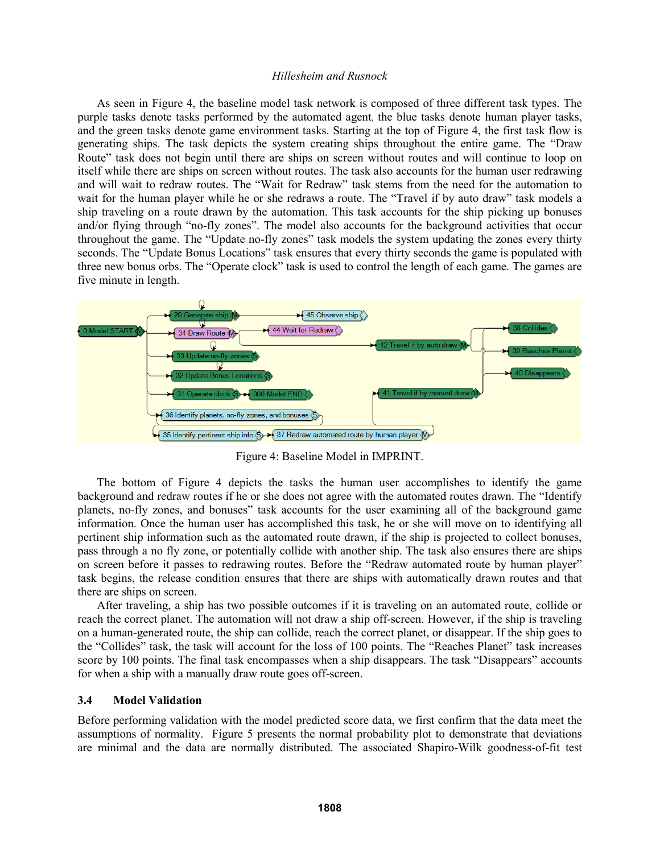As seen in Figure 4, the baseline model task network is composed of three different task types. The purple tasks denote tasks performed by the automated agent, the blue tasks denote human player tasks, and the green tasks denote game environment tasks. Starting at the top of Figure 4, the first task flow is generating ships. The task depicts the system creating ships throughout the entire game. The "Draw Route" task does not begin until there are ships on screen without routes and will continue to loop on itself while there are ships on screen without routes. The task also accounts for the human user redrawing and will wait to redraw routes. The "Wait for Redraw" task stems from the need for the automation to wait for the human player while he or she redraws a route. The "Travel if by auto draw" task models a ship traveling on a route drawn by the automation. This task accounts for the ship picking up bonuses and/or flying through "no-fly zones". The model also accounts for the background activities that occur throughout the game. The "Update no-fly zones" task models the system updating the zones every thirty seconds. The "Update Bonus Locations" task ensures that every thirty seconds the game is populated with three new bonus orbs. The "Operate clock" task is used to control the length of each game. The games are five minute in length.



Figure 4: Baseline Model in IMPRINT.

The bottom of Figure 4 depicts the tasks the human user accomplishes to identify the game background and redraw routes if he or she does not agree with the automated routes drawn. The "Identify planets, no-fly zones, and bonuses" task accounts for the user examining all of the background game information. Once the human user has accomplished this task, he or she will move on to identifying all pertinent ship information such as the automated route drawn, if the ship is projected to collect bonuses, pass through a no fly zone, or potentially collide with another ship. The task also ensures there are ships on screen before it passes to redrawing routes. Before the "Redraw automated route by human player" task begins, the release condition ensures that there are ships with automatically drawn routes and that there are ships on screen.

After traveling, a ship has two possible outcomes if it is traveling on an automated route, collide or reach the correct planet. The automation will not draw a ship off-screen. However, if the ship is traveling on a human-generated route, the ship can collide, reach the correct planet, or disappear. If the ship goes to the "Collides" task, the task will account for the loss of 100 points. The "Reaches Planet" task increases score by 100 points. The final task encompasses when a ship disappears. The task "Disappears" accounts for when a ship with a manually draw route goes off-screen.

#### **3.4 Model Validation**

Before performing validation with the model predicted score data, we first confirm that the data meet the assumptions of normality. Figure 5 presents the normal probability plot to demonstrate that deviations are minimal and the data are normally distributed. The associated Shapiro-Wilk goodness-of-fit test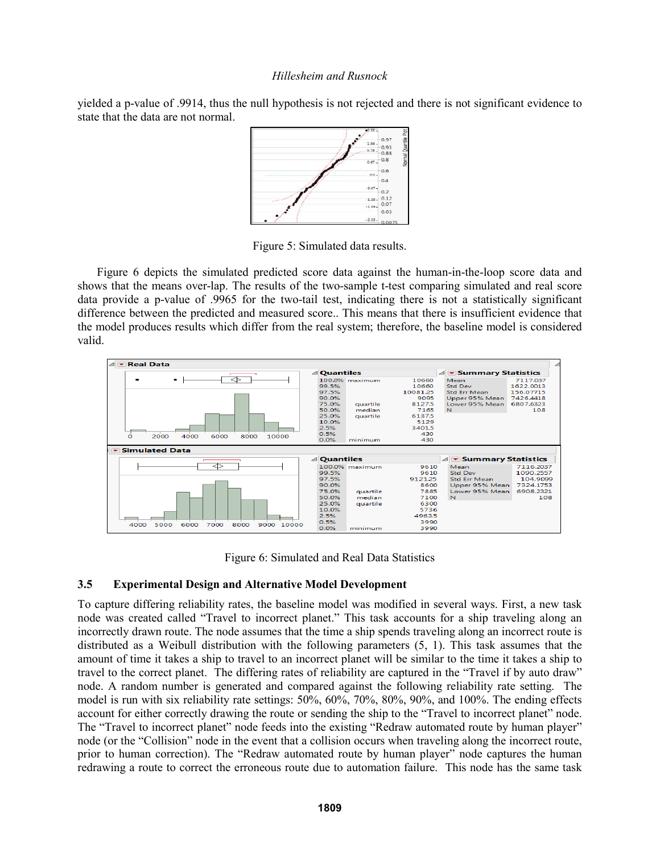yielded a p-value of .9914, thus the null hypothesis is not rejected and there is not significant evidence to state that the data are not normal.



Figure 5: Simulated data results.

Figure 6 depicts the simulated predicted score data against the human-in-the-loop score data and shows that the means over-lap. The results of the two-sample t-test comparing simulated and real score data provide a p-value of .9965 for the two-tail test, indicating there is not a statistically significant difference between the predicted and measured score.. This means that there is insufficient evidence that the model produces results which differ from the real system; therefore, the baseline model is considered valid.

| ⊿ <del>▼</del> Real Data                   |                                                                                                                         |                                                                              |                                                               |                                            |  |  |
|--------------------------------------------|-------------------------------------------------------------------------------------------------------------------------|------------------------------------------------------------------------------|---------------------------------------------------------------|--------------------------------------------|--|--|
|                                            | <b>Quantiles</b><br>⊿                                                                                                   |                                                                              | Summary Statistics<br>⊿                                       |                                            |  |  |
| ٠                                          | 100.0% maximum<br>99.5%                                                                                                 | 10660<br>10660                                                               | Mean<br>Std Dev                                               | 7117.037<br>1622.0013                      |  |  |
| 2000<br>8000<br>4000<br>6000<br>10000<br>o | 97.5%<br>90.0%<br>75.0%<br>quartile<br>50.0%<br>median<br>25.0%<br>quartile<br>10.0%<br>2.5%<br>0.5%<br>0.0%<br>minimum | 10081.25<br>9095<br>8127.5<br>7165<br>6137.5<br>5129<br>3401.5<br>430<br>430 | <b>Std Err Mean</b><br>Upper 95% Mean<br>Lower 95% Mean<br>N. | 156.07715<br>7426,4418<br>6807.6323<br>108 |  |  |
| Simulated Data                             |                                                                                                                         |                                                                              |                                                               |                                            |  |  |
|                                            |                                                                                                                         |                                                                              |                                                               |                                            |  |  |
|                                            | $\triangle$ Quantiles                                                                                                   |                                                                              | $\triangle$ $\triangleright$ Summary Statistics               |                                            |  |  |
|                                            | 100.0% maximum<br>99.5%                                                                                                 | 9610<br>9610                                                                 | Mean<br>Std Dev                                               | 7116.2037<br>1090.2557                     |  |  |
|                                            | 97.5%<br>90.0%<br>75.0%<br>quartile<br>50.0%<br>median<br>25.0%<br>quartile                                             | 9121.25<br>8600<br>7885<br>7100<br>6300                                      | <b>Std Err Mean</b><br>Upper 95% Mean<br>Lower 95% Mean<br>N  | 104.9099<br>7324.1753<br>6908.2321<br>108  |  |  |

Figure 6: Simulated and Real Data Statistics

## **3.5 Experimental Design and Alternative Model Development**

To capture differing reliability rates, the baseline model was modified in several ways. First, a new task node was created called "Travel to incorrect planet." This task accounts for a ship traveling along an incorrectly drawn route. The node assumes that the time a ship spends traveling along an incorrect route is distributed as a Weibull distribution with the following parameters (5, 1). This task assumes that the amount of time it takes a ship to travel to an incorrect planet will be similar to the time it takes a ship to travel to the correct planet. The differing rates of reliability are captured in the "Travel if by auto draw" node. A random number is generated and compared against the following reliability rate setting. The model is run with six reliability rate settings: 50%, 60%, 70%, 80%, 90%, and 100%. The ending effects account for either correctly drawing the route or sending the ship to the "Travel to incorrect planet" node. The "Travel to incorrect planet" node feeds into the existing "Redraw automated route by human player" node (or the "Collision" node in the event that a collision occurs when traveling along the incorrect route, prior to human correction). The "Redraw automated route by human player" node captures the human redrawing a route to correct the erroneous route due to automation failure. This node has the same task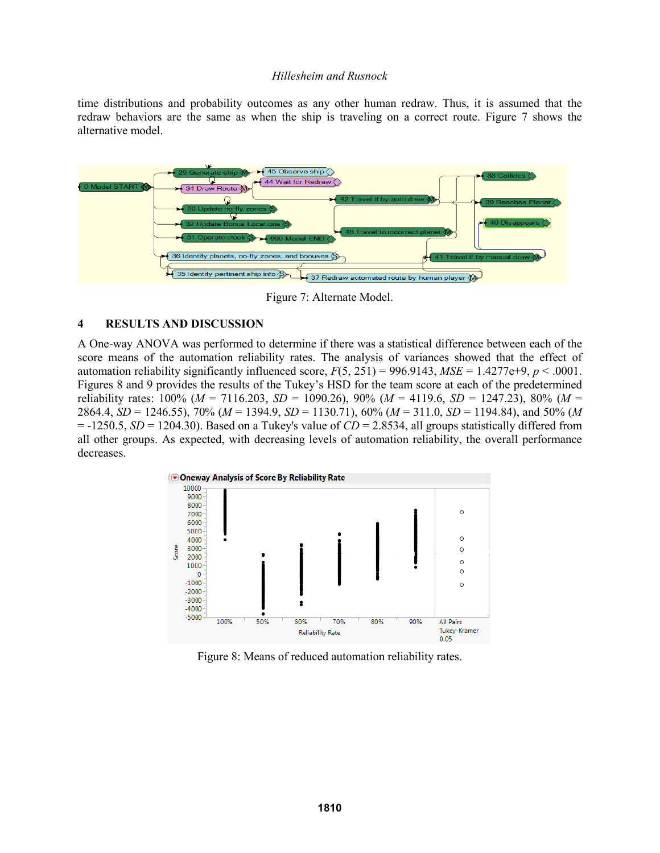time distributions and probability outcomes as any other human redraw. Thus, it is assumed that the redraw behaviors are the same as when the ship is traveling on a correct route. Figure 7 shows the alternative model.



Figure 7: Alternate Model.

## **4 RESULTS AND DISCUSSION**

A One-way ANOVA was performed to determine if there was a statistical difference between each of the score means of the automation reliability rates. The analysis of variances showed that the effect of automation reliability significantly influenced score,  $F(5, 251) = 996.9143$ ,  $MSE = 1.4277e+9$ ,  $p < .0001$ . Figures 8 and 9 provides the results of the Tukey's HSD for the team score at each of the predetermined reliability rates: 100% (*M* = 7116.203, *SD* = 1090.26), 90% (*M* = 4119.6, *SD* = 1247.23), 80% (*M* = 2864.4, *SD* = 1246.55), 70% (*M* = 1394.9, *SD* = 1130.71), 60% (*M* = 311.0, *SD* = 1194.84), and 50% (*M*  $=$  -1250.5, *SD* = 1204.30). Based on a Tukey's value of *CD* = 2.8534, all groups statistically differed from all other groups. As expected, with decreasing levels of automation reliability, the overall performance decreases.



Figure 8: Means of reduced automation reliability rates.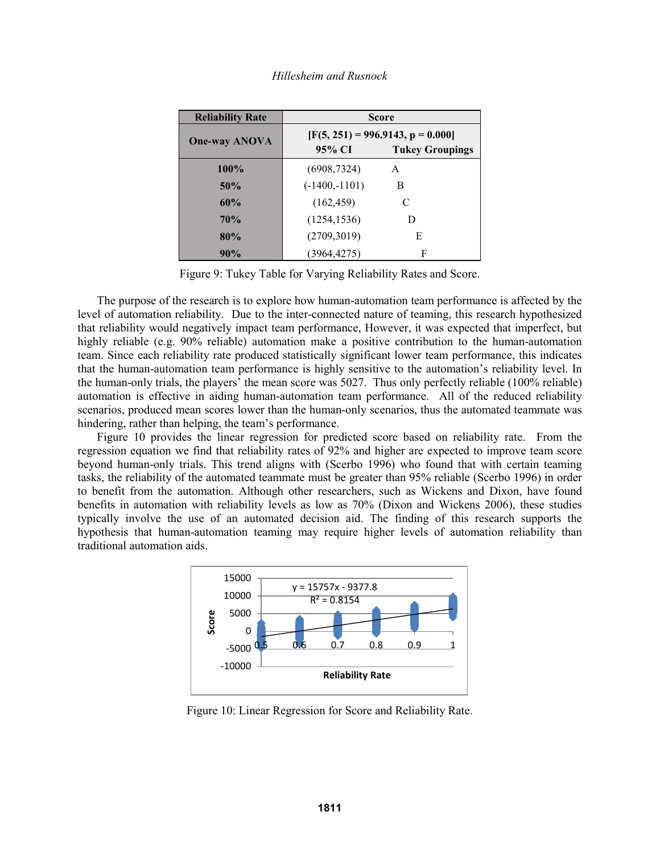| <b>Reliability Rate</b> | <b>Score</b>                                                            |   |  |
|-------------------------|-------------------------------------------------------------------------|---|--|
| <b>One-way ANOVA</b>    | $[F(5, 251) = 996.9143, p = 0.000]$<br>95% CI<br><b>Tukey Groupings</b> |   |  |
| 100%                    | (6908, 7324)                                                            | A |  |
| 50%                     | $(-1400,-1101)$                                                         | В |  |
| 60%                     | (162, 459)                                                              | C |  |
| 70%                     | (1254, 1536)                                                            | D |  |
| 80%                     | (2709, 3019)                                                            | Е |  |
| 90%                     | (3964, 4275)                                                            | F |  |

Figure 9: Tukey Table for Varying Reliability Rates and Score.

The purpose of the research is to explore how human-automation team performance is affected by the level of automation reliability. Due to the inter-connected nature of teaming, this research hypothesized that reliability would negatively impact team performance, However, it was expected that imperfect, but highly reliable (e.g. 90% reliable) automation make a positive contribution to the human-automation team. Since each reliability rate produced statistically significant lower team performance, this indicates that the human-automation team performance is highly sensitive to the automation's reliability level. In the human-only trials, the players' the mean score was 5027. Thus only perfectly reliable (100% reliable) automation is effective in aiding human-automation team performance. All of the reduced reliability scenarios, produced mean scores lower than the human-only scenarios, thus the automated teammate was hindering, rather than helping, the team's performance.

Figure 10 provides the linear regression for predicted score based on reliability rate. From the regression equation we find that reliability rates of 92% and higher are expected to improve team score beyond human-only trials. This trend aligns with (Scerbo 1996) who found that with certain teaming tasks, the reliability of the automated teammate must be greater than 95% reliable (Scerbo 1996) in order to benefit from the automation. Although other researchers, such as Wickens and Dixon, have found benefits in automation with reliability levels as low as 70% (Dixon and Wickens 2006), these studies typically involve the use of an automated decision aid. The finding of this research supports the hypothesis that human-automation teaming may require higher levels of automation reliability than traditional automation aids.



Figure 10: Linear Regression for Score and Reliability Rate.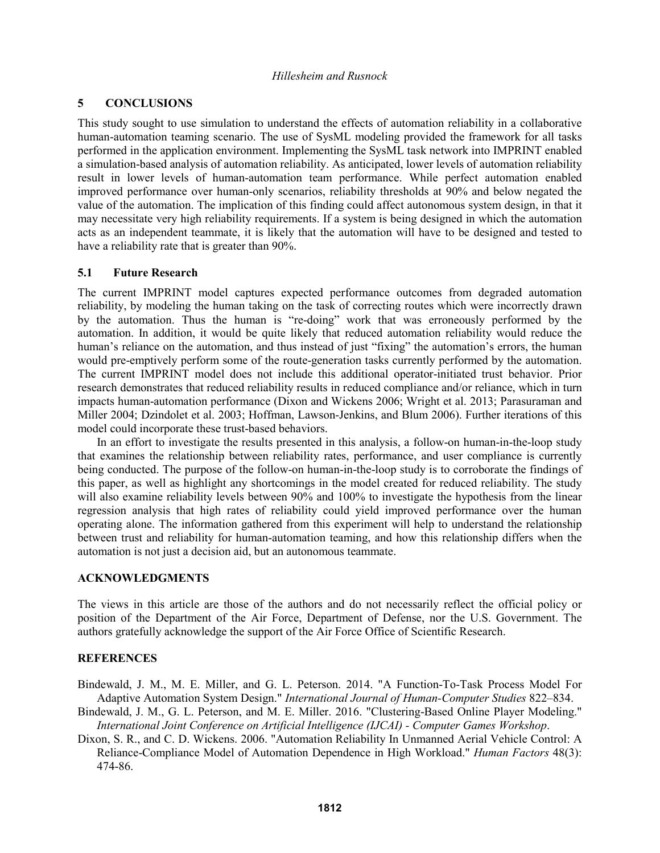## **5 CONCLUSIONS**

This study sought to use simulation to understand the effects of automation reliability in a collaborative human-automation teaming scenario. The use of SysML modeling provided the framework for all tasks performed in the application environment. Implementing the SysML task network into IMPRINT enabled a simulation-based analysis of automation reliability. As anticipated, lower levels of automation reliability result in lower levels of human-automation team performance. While perfect automation enabled improved performance over human-only scenarios, reliability thresholds at 90% and below negated the value of the automation. The implication of this finding could affect autonomous system design, in that it may necessitate very high reliability requirements. If a system is being designed in which the automation acts as an independent teammate, it is likely that the automation will have to be designed and tested to have a reliability rate that is greater than 90%.

## **5.1 Future Research**

The current IMPRINT model captures expected performance outcomes from degraded automation reliability, by modeling the human taking on the task of correcting routes which were incorrectly drawn by the automation. Thus the human is "re-doing" work that was erroneously performed by the automation. In addition, it would be quite likely that reduced automation reliability would reduce the human's reliance on the automation, and thus instead of just "fixing" the automation's errors, the human would pre-emptively perform some of the route-generation tasks currently performed by the automation. The current IMPRINT model does not include this additional operator-initiated trust behavior. Prior research demonstrates that reduced reliability results in reduced compliance and/or reliance, which in turn impacts human-automation performance (Dixon and Wickens 2006; Wright et al. 2013; Parasuraman and Miller 2004; Dzindolet et al. 2003; Hoffman, Lawson-Jenkins, and Blum 2006). Further iterations of this model could incorporate these trust-based behaviors.

In an effort to investigate the results presented in this analysis, a follow-on human-in-the-loop study that examines the relationship between reliability rates, performance, and user compliance is currently being conducted. The purpose of the follow-on human-in-the-loop study is to corroborate the findings of this paper, as well as highlight any shortcomings in the model created for reduced reliability. The study will also examine reliability levels between 90% and 100% to investigate the hypothesis from the linear regression analysis that high rates of reliability could yield improved performance over the human operating alone. The information gathered from this experiment will help to understand the relationship between trust and reliability for human-automation teaming, and how this relationship differs when the automation is not just a decision aid, but an autonomous teammate.

## **ACKNOWLEDGMENTS**

The views in this article are those of the authors and do not necessarily reflect the official policy or position of the Department of the Air Force, Department of Defense, nor the U.S. Government. The authors gratefully acknowledge the support of the Air Force Office of Scientific Research.

## **REFERENCES**

Bindewald, J. M., M. E. Miller, and G. L. Peterson. 2014. "A Function-To-Task Process Model For Adaptive Automation System Design." *International Journal of Human-Computer Studies* 822–834.

- Bindewald, J. M., G. L. Peterson, and M. E. Miller. 2016. "Clustering-Based Online Player Modeling." *International Joint Conference on Artificial Intelligence (IJCAI) - Computer Games Workshop*.
- Dixon, S. R., and C. D. Wickens. 2006. "Automation Reliability In Unmanned Aerial Vehicle Control: A Reliance-Compliance Model of Automation Dependence in High Workload." *Human Factors* 48(3): 474-86.